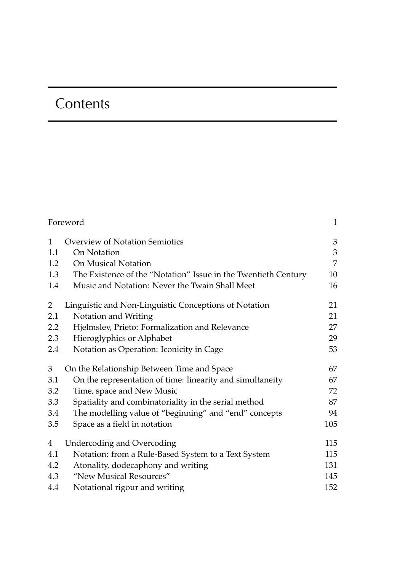## **Contents**

| Foreword     |                                                                | 1   |
|--------------|----------------------------------------------------------------|-----|
| $\mathbf{1}$ | <b>Overview of Notation Semiotics</b>                          | 3   |
| 1.1          | On Notation                                                    | 3   |
| 1.2          | On Musical Notation                                            | 7   |
| 1.3          | The Existence of the "Notation" Issue in the Twentieth Century | 10  |
| 1.4          | Music and Notation: Never the Twain Shall Meet                 | 16  |
| 2            | Linguistic and Non-Linguistic Conceptions of Notation          | 21  |
| 2.1          | Notation and Writing                                           | 21  |
| 2.2          | Hjelmslev, Prieto: Formalization and Relevance                 | 27  |
| 2.3          | Hieroglyphics or Alphabet                                      | 29  |
| 2.4          | Notation as Operation: Iconicity in Cage                       | 53  |
| 3            | On the Relationship Between Time and Space                     | 67  |
| 3.1          | On the representation of time: linearity and simultaneity      | 67  |
| 3.2          | Time, space and New Music                                      | 72  |
| 3.3          | Spatiality and combinatoriality in the serial method           | 87  |
| 3.4          | The modelling value of "beginning" and "end" concepts          | 94  |
| 3.5          | Space as a field in notation                                   | 105 |
| 4            | <b>Undercoding and Overcoding</b>                              | 115 |
| 4.1          | Notation: from a Rule-Based System to a Text System            | 115 |
| 4.2          | Atonality, dodecaphony and writing                             | 131 |
| 4.3          | "New Musical Resources"                                        | 145 |
| 4.4          | Notational rigour and writing                                  | 152 |